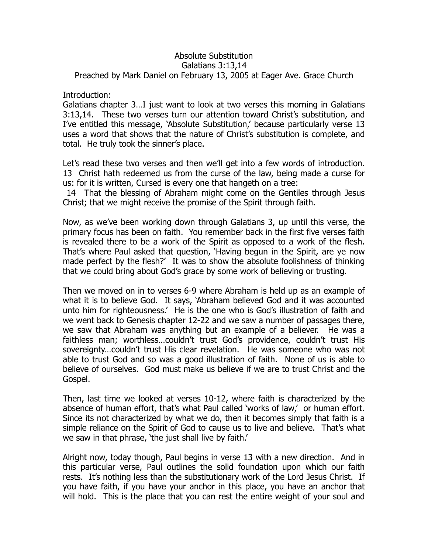## Absolute Substitution Galatians 3:13,14 Preached by Mark Daniel on February 13, 2005 at Eager Ave. Grace Church

## Introduction:

Galatians chapter 3…I just want to look at two verses this morning in Galatians 3:13,14. These two verses turn our attention toward Christ's substitution, and I've entitled this message, 'Absolute Substitution,' because particularly verse 13 uses a word that shows that the nature of Christ's substitution is complete, and total. He truly took the sinner's place.

Let's read these two verses and then we'll get into a few words of introduction. 13 Christ hath redeemed us from the curse of the law, being made a curse for us: for it is written, Cursed is every one that hangeth on a tree:

 14 That the blessing of Abraham might come on the Gentiles through Jesus Christ; that we might receive the promise of the Spirit through faith.

Now, as we've been working down through Galatians 3, up until this verse, the primary focus has been on faith. You remember back in the first five verses faith is revealed there to be a work of the Spirit as opposed to a work of the flesh. That's where Paul asked that question, 'Having begun in the Spirit, are ye now made perfect by the flesh?' It was to show the absolute foolishness of thinking that we could bring about God's grace by some work of believing or trusting.

Then we moved on in to verses 6-9 where Abraham is held up as an example of what it is to believe God. It says, 'Abraham believed God and it was accounted unto him for righteousness.' He is the one who is God's illustration of faith and we went back to Genesis chapter 12-22 and we saw a number of passages there, we saw that Abraham was anything but an example of a believer. He was a faithless man; worthless…couldn't trust God's providence, couldn't trust His sovereignty…couldn't trust His clear revelation. He was someone who was not able to trust God and so was a good illustration of faith. None of us is able to believe of ourselves. God must make us believe if we are to trust Christ and the Gospel.

Then, last time we looked at verses 10-12, where faith is characterized by the absence of human effort, that's what Paul called 'works of law,' or human effort. Since its not characterized by what we do, then it becomes simply that faith is a simple reliance on the Spirit of God to cause us to live and believe. That's what we saw in that phrase, 'the just shall live by faith.'

Alright now, today though, Paul begins in verse 13 with a new direction. And in this particular verse, Paul outlines the solid foundation upon which our faith rests. It's nothing less than the substitutionary work of the Lord Jesus Christ. If you have faith, if you have your anchor in this place, you have an anchor that will hold. This is the place that you can rest the entire weight of your soul and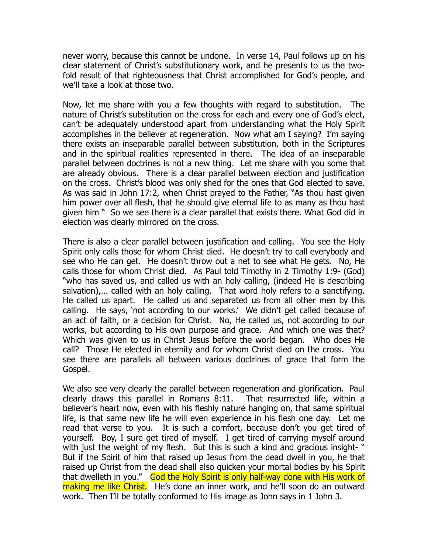never worry, because this cannot be undone. In verse 14, Paul follows up on his clear statement of Christ's substitutionary work, and he presents to us the twofold result of that righteousness that Christ accomplished for God's people, and we'll take a look at those two.

Now, let me share with you a few thoughts with regard to substitution. The nature of Christ's substitution on the cross for each and every one of God's elect, can't be adequately understood apart from understanding what the Holy Spirit accomplishes in the believer at regeneration. Now what am I saying? I'm saying there exists an inseparable parallel between substitution, both in the Scriptures and in the spiritual realities represented in there. The idea of an inseparable parallel between doctrines is not a new thing. Let me share with you some that are already obvious. There is a clear parallel between election and justification on the cross. Christ's blood was only shed for the ones that God elected to save. As was said in John 17:2, when Christ prayed to the Father, "As thou hast given him power over all flesh, that he should give eternal life to as many as thou hast given him " So we see there is a clear parallel that exists there. What God did in election was clearly mirrored on the cross.

There is also a clear parallel between justification and calling. You see the Holy Spirit only calls those for whom Christ died. He doesn't try to call everybody and see who He can get. He doesn't throw out a net to see what He gets. No, He calls those for whom Christ died. As Paul told Timothy in 2 Timothy 1:9- (God) "who has saved us, and called us with an holy calling, (indeed He is describing salvation),… called with an holy calling. That word holy refers to a sanctifying. He called us apart. He called us and separated us from all other men by this calling. He says, 'not according to our works.' We didn't get called because of an act of faith, or a decision for Christ. No, He called us, not according to our works, but according to His own purpose and grace. And which one was that? Which was given to us in Christ Jesus before the world began. Who does He call? Those He elected in eternity and for whom Christ died on the cross. You see there are parallels all between various doctrines of grace that form the Gospel.

We also see very clearly the parallel between regeneration and glorification. Paul clearly draws this parallel in Romans 8:11. That resurrected life, within a believer's heart now, even with his fleshly nature hanging on, that same spiritual life, is that same new life he will even experience in his flesh one day. Let me read that verse to you. It is such a comfort, because don't you get tired of yourself. Boy, I sure get tired of myself. I get tired of carrying myself around with just the weight of my flesh. But this is such a kind and gracious insight-" But if the Spirit of him that raised up Jesus from the dead dwell in you, he that raised up Christ from the dead shall also quicken your mortal bodies by his Spirit that dwelleth in you." God the Holy Spirit is only half-way done with His work of making me like Christ. He's done an inner work, and he'll soon do an outward work. Then I'll be totally conformed to His image as John says in 1 John 3.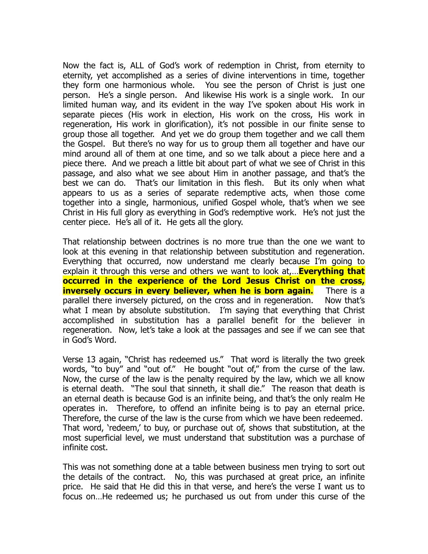Now the fact is, ALL of God's work of redemption in Christ, from eternity to eternity, yet accomplished as a series of divine interventions in time, together they form one harmonious whole. You see the person of Christ is just one person. He's a single person. And likewise His work is a single work. In our limited human way, and its evident in the way I've spoken about His work in separate pieces (His work in election, His work on the cross, His work in regeneration, His work in glorification), it's not possible in our finite sense to group those all together. And yet we do group them together and we call them the Gospel. But there's no way for us to group them all together and have our mind around all of them at one time, and so we talk about a piece here and a piece there. And we preach a little bit about part of what we see of Christ in this passage, and also what we see about Him in another passage, and that's the best we can do. That's our limitation in this flesh. But its only when what appears to us as a series of separate redemptive acts, when those come together into a single, harmonious, unified Gospel whole, that's when we see Christ in His full glory as everything in God's redemptive work. He's not just the center piece. He's all of it. He gets all the glory.

That relationship between doctrines is no more true than the one we want to look at this evening in that relationship between substitution and regeneration. Everything that occurred, now understand me clearly because I'm going to explain it through this verse and others we want to look at,…**Everything that occurred in the experience of the Lord Jesus Christ on the cross, inversely occurs in every believer, when he is born again.** There is a parallel there inversely pictured, on the cross and in regeneration. Now that's what I mean by absolute substitution. I'm saying that everything that Christ accomplished in substitution has a parallel benefit for the believer in regeneration. Now, let's take a look at the passages and see if we can see that in God's Word.

Verse 13 again, "Christ has redeemed us." That word is literally the two greek words, "to buy" and "out of." He bought "out of," from the curse of the law. Now, the curse of the law is the penalty required by the law, which we all know is eternal death. "The soul that sinneth, it shall die." The reason that death is an eternal death is because God is an infinite being, and that's the only realm He operates in. Therefore, to offend an infinite being is to pay an eternal price. Therefore, the curse of the law is the curse from which we have been redeemed. That word, 'redeem,' to buy, or purchase out of, shows that substitution, at the most superficial level, we must understand that substitution was a purchase of infinite cost.

This was not something done at a table between business men trying to sort out the details of the contract. No, this was purchased at great price, an infinite price. He said that He did this in that verse, and here's the verse I want us to focus on…He redeemed us; he purchased us out from under this curse of the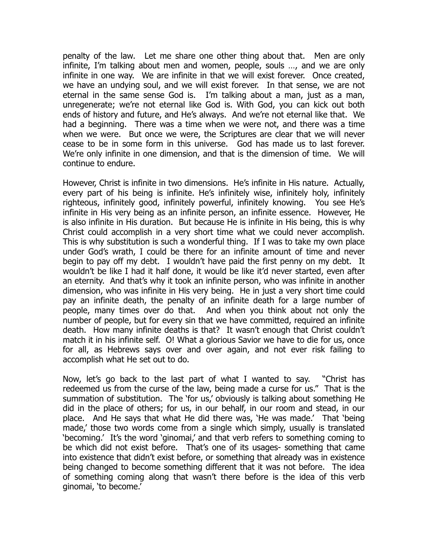penalty of the law. Let me share one other thing about that. Men are only infinite, I'm talking about men and women, people, souls …, and we are only infinite in one way. We are infinite in that we will exist forever. Once created, we have an undying soul, and we will exist forever. In that sense, we are not eternal in the same sense God is. I'm talking about a man, just as a man, unregenerate; we're not eternal like God is. With God, you can kick out both ends of history and future, and He's always. And we're not eternal like that. We had a beginning. There was a time when we were not, and there was a time when we were. But once we were, the Scriptures are clear that we will never cease to be in some form in this universe. God has made us to last forever. We're only infinite in one dimension, and that is the dimension of time. We will continue to endure.

However, Christ is infinite in two dimensions. He's infinite in His nature. Actually, every part of his being is infinite. He's infinitely wise, infinitely holy, infinitely righteous, infinitely good, infinitely powerful, infinitely knowing. You see He's infinite in His very being as an infinite person, an infinite essence. However, He is also infinite in His duration. But because He is infinite in His being, this is why Christ could accomplish in a very short time what we could never accomplish. This is why substitution is such a wonderful thing. If I was to take my own place under God's wrath, I could be there for an infinite amount of time and never begin to pay off my debt. I wouldn't have paid the first penny on my debt. It wouldn't be like I had it half done, it would be like it'd never started, even after an eternity. And that's why it took an infinite person, who was infinite in another dimension, who was infinite in His very being. He in just a very short time could pay an infinite death, the penalty of an infinite death for a large number of people, many times over do that. And when you think about not only the number of people, but for every sin that we have committed, required an infinite death. How many infinite deaths is that? It wasn't enough that Christ couldn't match it in his infinite self. O! What a glorious Savior we have to die for us, once for all, as Hebrews says over and over again, and not ever risk failing to accomplish what He set out to do.

Now, let's go back to the last part of what I wanted to say. "Christ has redeemed us from the curse of the law, being made a curse for us." That is the summation of substitution. The 'for us,' obviously is talking about something He did in the place of others; for us, in our behalf, in our room and stead, in our place. And He says that what He did there was, 'He was made.' That 'being made,' those two words come from a single which simply, usually is translated 'becoming.' It's the word 'ginomai,' and that verb refers to something coming to be which did not exist before. That's one of its usages- something that came into existence that didn't exist before, or something that already was in existence being changed to become something different that it was not before. The idea of something coming along that wasn't there before is the idea of this verb ginomai, 'to become.'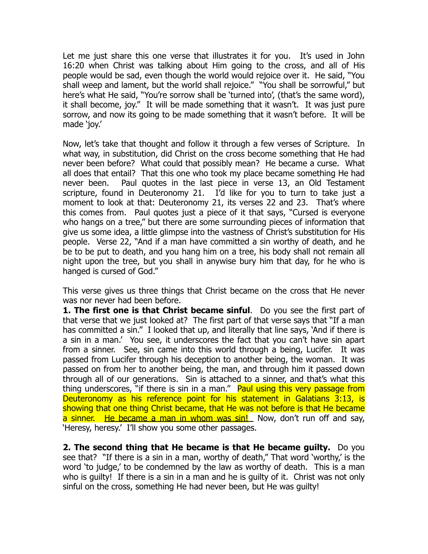Let me just share this one verse that illustrates it for you. It's used in John 16:20 when Christ was talking about Him going to the cross, and all of His people would be sad, even though the world would rejoice over it. He said, "You shall weep and lament, but the world shall rejoice." "You shall be sorrowful," but here's what He said, "You're sorrow shall be 'turned into', (that's the same word), it shall become, joy." It will be made something that it wasn't. It was just pure sorrow, and now its going to be made something that it wasn't before. It will be made 'joy.'

Now, let's take that thought and follow it through a few verses of Scripture. In what way, in substitution, did Christ on the cross become something that He had never been before? What could that possibly mean? He became a curse. What all does that entail? That this one who took my place became something He had never been. Paul quotes in the last piece in verse 13, an Old Testament scripture, found in Deuteronomy 21. I'd like for you to turn to take just a moment to look at that: Deuteronomy 21, its verses 22 and 23. That's where this comes from. Paul quotes just a piece of it that says, "Cursed is everyone who hangs on a tree," but there are some surrounding pieces of information that give us some idea, a little glimpse into the vastness of Christ's substitution for His people. Verse 22, "And if a man have committed a sin worthy of death, and he be to be put to death, and you hang him on a tree, his body shall not remain all night upon the tree, but you shall in anywise bury him that day, for he who is hanged is cursed of God."

This verse gives us three things that Christ became on the cross that He never was nor never had been before.

**1. The first one is that Christ became sinful**. Do you see the first part of that verse that we just looked at? The first part of that verse says that "If a man has committed a sin." I looked that up, and literally that line says, 'And if there is a sin in a man.' You see, it underscores the fact that you can't have sin apart from a sinner. See, sin came into this world through a being, Lucifer. It was passed from Lucifer through his deception to another being, the woman. It was passed on from her to another being, the man, and through him it passed down through all of our generations. Sin is attached to a sinner, and that's what this thing underscores, "if there is sin in a man." Paul using this very passage from Deuteronomy as his reference point for his statement in Galatians 3:13, is showing that one thing Christ became, that He was not before is that He became a sinner. He became a man in whom was sin! Now, don't run off and say, 'Heresy, heresy.' I'll show you some other passages.

**2. The second thing that He became is that He became guilty.** Do you see that? "If there is a sin in a man, worthy of death," That word 'worthy,' is the word 'to judge,' to be condemned by the law as worthy of death. This is a man who is guilty! If there is a sin in a man and he is guilty of it. Christ was not only sinful on the cross, something He had never been, but He was guilty!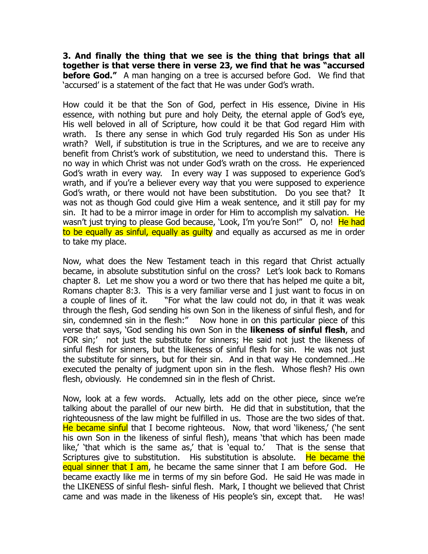**3. And finally the thing that we see is the thing that brings that all together is that verse there in verse 23, we find that he was "accursed before God."** A man hanging on a tree is accursed before God. We find that 'accursed' is a statement of the fact that He was under God's wrath.

How could it be that the Son of God, perfect in His essence, Divine in His essence, with nothing but pure and holy Deity, the eternal apple of God's eye, His well beloved in all of Scripture, how could it be that God regard Him with wrath. Is there any sense in which God truly regarded His Son as under His wrath? Well, if substitution is true in the Scriptures, and we are to receive any benefit from Christ's work of substitution, we need to understand this. There is no way in which Christ was not under God's wrath on the cross. He experienced God's wrath in every way. In every way I was supposed to experience God's wrath, and if you're a believer every way that you were supposed to experience God's wrath, or there would not have been substitution. Do you see that? It was not as though God could give Him a weak sentence, and it still pay for my sin. It had to be a mirror image in order for Him to accomplish my salvation. He wasn't just trying to please God because, 'Look, I'm you're Son!" O, no! He had to be equally as sinful, equally as quilty and equally as accursed as me in order to take my place.

Now, what does the New Testament teach in this regard that Christ actually became, in absolute substitution sinful on the cross? Let's look back to Romans chapter 8. Let me show you a word or two there that has helped me quite a bit, Romans chapter 8:3. This is a very familiar verse and I just want to focus in on a couple of lines of it. "For what the law could not do, in that it was weak through the flesh, God sending his own Son in the likeness of sinful flesh, and for sin, condemned sin in the flesh:" Now hone in on this particular piece of this verse that says, 'God sending his own Son in the **likeness of sinful flesh**, and FOR sin;' not just the substitute for sinners; He said not just the likeness of sinful flesh for sinners, but the likeness of sinful flesh for sin. He was not just the substitute for sinners, but for their sin. And in that way He condemned…He executed the penalty of judgment upon sin in the flesh. Whose flesh? His own flesh, obviously. He condemned sin in the flesh of Christ.

Now, look at a few words. Actually, lets add on the other piece, since we're talking about the parallel of our new birth. He did that in substitution, that the righteousness of the law might be fulfilled in us. Those are the two sides of that. He became sinful that I become righteous. Now, that word 'likeness,' ('he sent his own Son in the likeness of sinful flesh), means 'that which has been made like,' 'that which is the same as,' that is 'equal to.' That is the sense that Scriptures give to substitution. His substitution is absolute. He became the equal sinner that I am, he became the same sinner that I am before God. He became exactly like me in terms of my sin before God. He said He was made in the LIKENESS of sinful flesh- sinful flesh. Mark, I thought we believed that Christ came and was made in the likeness of His people's sin, except that. He was!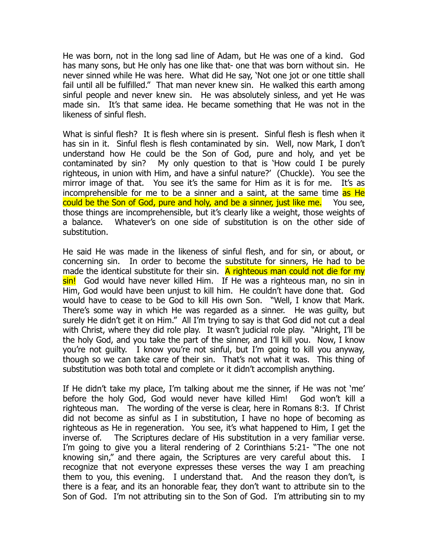He was born, not in the long sad line of Adam, but He was one of a kind. God has many sons, but He only has one like that- one that was born without sin. He never sinned while He was here. What did He say, 'Not one jot or one tittle shall fail until all be fulfilled." That man never knew sin. He walked this earth among sinful people and never knew sin. He was absolutely sinless, and yet He was made sin. It's that same idea. He became something that He was not in the likeness of sinful flesh.

What is sinful flesh? It is flesh where sin is present. Sinful flesh is flesh when it has sin in it. Sinful flesh is flesh contaminated by sin. Well, now Mark, I don't understand how He could be the Son of God, pure and holy, and yet be contaminated by sin? My only question to that is 'How could I be purely righteous, in union with Him, and have a sinful nature?' (Chuckle). You see the mirror image of that. You see it's the same for Him as it is for me. It's as incomprehensible for me to be a sinner and a saint, at the same time as He could be the Son of God, pure and holy, and be a sinner, just like me. You see, those things are incomprehensible, but it's clearly like a weight, those weights of a balance. Whatever's on one side of substitution is on the other side of substitution.

He said He was made in the likeness of sinful flesh, and for sin, or about, or concerning sin. In order to become the substitute for sinners, He had to be made the identical substitute for their sin. A righteous man could not die for my sin! God would have never killed Him. If He was a righteous man, no sin in Him, God would have been unjust to kill him. He couldn't have done that. God would have to cease to be God to kill His own Son. "Well, I know that Mark. There's some way in which He was regarded as a sinner. He was guilty, but surely He didn't get it on Him." All I'm trying to say is that God did not cut a deal with Christ, where they did role play. It wasn't judicial role play. "Alright, I'll be the holy God, and you take the part of the sinner, and I'll kill you. Now, I know you're not guilty. I know you're not sinful, but I'm going to kill you anyway, though so we can take care of their sin. That's not what it was. This thing of substitution was both total and complete or it didn't accomplish anything.

If He didn't take my place, I'm talking about me the sinner, if He was not 'me' before the holy God, God would never have killed Him! God won't kill a righteous man. The wording of the verse is clear, here in Romans 8:3. If Christ did not become as sinful as I in substitution, I have no hope of becoming as righteous as He in regeneration. You see, it's what happened to Him, I get the inverse of. The Scriptures declare of His substitution in a very familiar verse. I'm going to give you a literal rendering of 2 Corinthians 5:21- "The one not knowing sin," and there again, the Scriptures are very careful about this. I recognize that not everyone expresses these verses the way I am preaching them to you, this evening. I understand that. And the reason they don't, is there is a fear, and its an honorable fear, they don't want to attribute sin to the Son of God. I'm not attributing sin to the Son of God. I'm attributing sin to my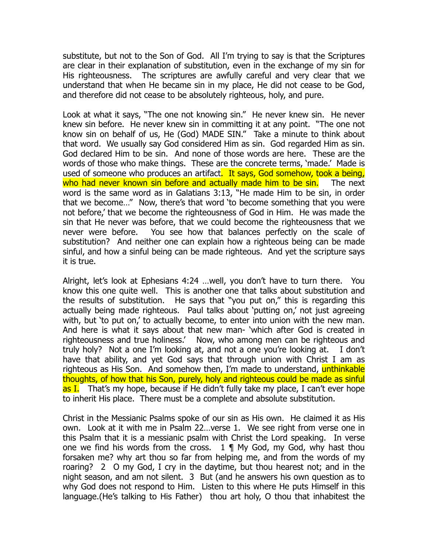substitute, but not to the Son of God. All I'm trying to say is that the Scriptures are clear in their explanation of substitution, even in the exchange of my sin for His righteousness. The scriptures are awfully careful and very clear that we understand that when He became sin in my place, He did not cease to be God, and therefore did not cease to be absolutely righteous, holy, and pure.

Look at what it says, "The one not knowing sin." He never knew sin. He never knew sin before. He never knew sin in committing it at any point. "The one not know sin on behalf of us, He (God) MADE SIN." Take a minute to think about that word. We usually say God considered Him as sin. God regarded Him as sin. God declared Him to be sin. And none of those words are here. These are the words of those who make things. These are the concrete terms, 'made.' Made is used of someone who produces an artifact. It says, God somehow, took a being, who had never known sin before and actually made him to be sin. The next word is the same word as in Galatians 3:13, "He made Him to be sin, in order that we become…" Now, there's that word 'to become something that you were not before,' that we become the righteousness of God in Him. He was made the sin that He never was before, that we could become the righteousness that we never were before. You see how that balances perfectly on the scale of substitution? And neither one can explain how a righteous being can be made sinful, and how a sinful being can be made righteous. And yet the scripture says it is true.

Alright, let's look at Ephesians 4:24 …well, you don't have to turn there. You know this one quite well. This is another one that talks about substitution and the results of substitution. He says that "you put on," this is regarding this actually being made righteous. Paul talks about 'putting on,' not just agreeing with, but 'to put on,' to actually become, to enter into union with the new man. And here is what it says about that new man- 'which after God is created in righteousness and true holiness.' Now, who among men can be righteous and truly holy? Not a one I'm looking at, and not a one you're looking at. I don't have that ability, and yet God says that through union with Christ I am as righteous as His Son. And somehow then, I'm made to understand, unthinkable thoughts, of how that his Son, purely, holy and righteous could be made as sinful as I. That's my hope, because if He didn't fully take my place, I can't ever hope to inherit His place. There must be a complete and absolute substitution.

Christ in the Messianic Psalms spoke of our sin as His own. He claimed it as His own. Look at it with me in Psalm 22…verse 1. We see right from verse one in this Psalm that it is a messianic psalm with Christ the Lord speaking. In verse one we find his words from the cross.  $1 \nparallel My$  God, my God, why hast thou forsaken me? why art thou so far from helping me, and from the words of my roaring? 2 O my God, I cry in the daytime, but thou hearest not; and in the night season, and am not silent. 3 But (and he answers his own question as to why God does not respond to Him. Listen to this where He puts Himself in this language.(He's talking to His Father) thou art holy, O thou that inhabitest the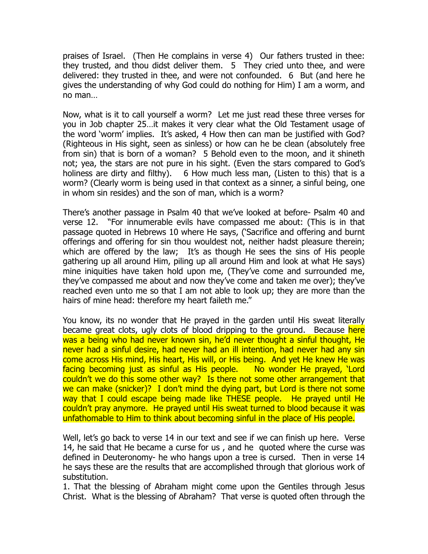praises of Israel. (Then He complains in verse 4) Our fathers trusted in thee: they trusted, and thou didst deliver them. 5 They cried unto thee, and were delivered: they trusted in thee, and were not confounded. 6 But (and here he gives the understanding of why God could do nothing for Him) I am a worm, and no man…

Now, what is it to call yourself a worm? Let me just read these three verses for you in Job chapter 25…it makes it very clear what the Old Testament usage of the word 'worm' implies. It's asked, 4 How then can man be justified with God? (Righteous in His sight, seen as sinless) or how can he be clean (absolutely free from sin) that is born of a woman? 5 Behold even to the moon, and it shineth not; yea, the stars are not pure in his sight. (Even the stars compared to God's holiness are dirty and filthy). 6 How much less man, (Listen to this) that is a worm? (Clearly worm is being used in that context as a sinner, a sinful being, one in whom sin resides) and the son of man, which is a worm?

There's another passage in Psalm 40 that we've looked at before- Psalm 40 and verse 12. "For innumerable evils have compassed me about: (This is in that passage quoted in Hebrews 10 where He says, ('Sacrifice and offering and burnt offerings and offering for sin thou wouldest not, neither hadst pleasure therein; which are offered by the law; It's as though He sees the sins of His people gathering up all around Him, piling up all around Him and look at what He says) mine iniquities have taken hold upon me, (They've come and surrounded me, they've compassed me about and now they've come and taken me over); they've reached even unto me so that I am not able to look up; they are more than the hairs of mine head: therefore my heart faileth me."

You know, its no wonder that He prayed in the garden until His sweat literally became great clots, ugly clots of blood dripping to the ground. Because here was a being who had never known sin, he'd never thought a sinful thought, He never had a sinful desire, had never had an ill intention, had never had any sin come across His mind, His heart, His will, or His being. And yet He knew He was facing becoming just as sinful as His people. No wonder He prayed, 'Lord couldn't we do this some other way? Is there not some other arrangement that we can make (snicker)? I don't mind the dying part, but Lord is there not some way that I could escape being made like THESE people. He prayed until He couldn't pray anymore. He prayed until His sweat turned to blood because it was unfathomable to Him to think about becoming sinful in the place of His people.

Well, let's go back to verse 14 in our text and see if we can finish up here. Verse 14, he said that He became a curse for us , and he quoted where the curse was defined in Deuteronomy- he who hangs upon a tree is cursed. Then in verse 14 he says these are the results that are accomplished through that glorious work of substitution.

1. That the blessing of Abraham might come upon the Gentiles through Jesus Christ. What is the blessing of Abraham? That verse is quoted often through the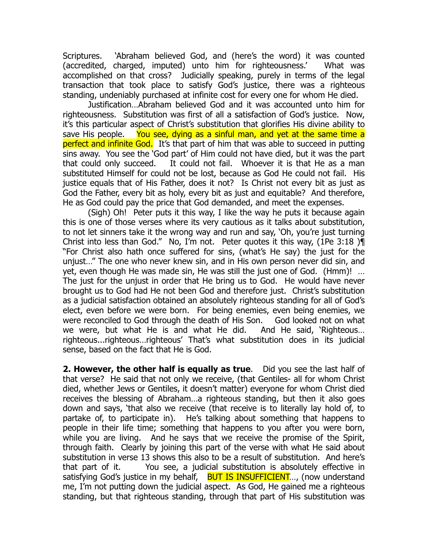Scriptures. 'Abraham believed God, and (here's the word) it was counted (accredited, charged, imputed) unto him for righteousness.' What was accomplished on that cross? Judicially speaking, purely in terms of the legal transaction that took place to satisfy God's justice, there was a righteous standing, undeniably purchased at infinite cost for every one for whom He died.

 Justification…Abraham believed God and it was accounted unto him for righteousness. Substitution was first of all a satisfaction of God's justice. Now, it's this particular aspect of Christ's substitution that glorifies His divine ability to save His people. You see, dying as a sinful man, and yet at the same time a perfect and infinite God. It's that part of him that was able to succeed in putting sins away. You see the 'God part' of Him could not have died, but it was the part that could only succeed. It could not fail. Whoever it is that He as a man substituted Himself for could not be lost, because as God He could not fail. His justice equals that of His Father, does it not? Is Christ not every bit as just as God the Father, every bit as holy, every bit as just and equitable? And therefore, He as God could pay the price that God demanded, and meet the expenses.

 (Sigh) Oh! Peter puts it this way, I like the way he puts it because again this is one of those verses where its very cautious as it talks about substitution, to not let sinners take it the wrong way and run and say, 'Oh, you're just turning Christ into less than God." No, I'm not. Peter quotes it this way, (1Pe 3:18 )¶ "For Christ also hath once suffered for sins, (what's He say) the just for the unjust…" The one who never knew sin, and in His own person never did sin, and yet, even though He was made sin, He was still the just one of God. (Hmm)! … The just for the unjust in order that He bring us to God. He would have never brought us to God had He not been God and therefore just. Christ's substitution as a judicial satisfaction obtained an absolutely righteous standing for all of God's elect, even before we were born. For being enemies, even being enemies, we were reconciled to God through the death of His Son. God looked not on what we were, but what He is and what He did. And He said, 'Righteous… righteous...righteous…righteous' That's what substitution does in its judicial sense, based on the fact that He is God.

**2. However, the other half is equally as true**. Did you see the last half of that verse? He said that not only we receive, (that Gentiles- all for whom Christ died, whether Jews or Gentiles, it doesn't matter) everyone for whom Christ died receives the blessing of Abraham…a righteous standing, but then it also goes down and says, 'that also we receive (that receive is to literally lay hold of, to partake of, to participate in). He's talking about something that happens to people in their life time; something that happens to you after you were born, while you are living. And he says that we receive the promise of the Spirit, through faith. Clearly by joining this part of the verse with what He said about substitution in verse 13 shows this also to be a result of substitution. And here's that part of it. You see, a judicial substitution is absolutely effective in satisfying God's justice in my behalf, BUT IS INSUFFICIENT..., (now understand me, I'm not putting down the judicial aspect. As God, He gained me a righteous standing, but that righteous standing, through that part of His substitution was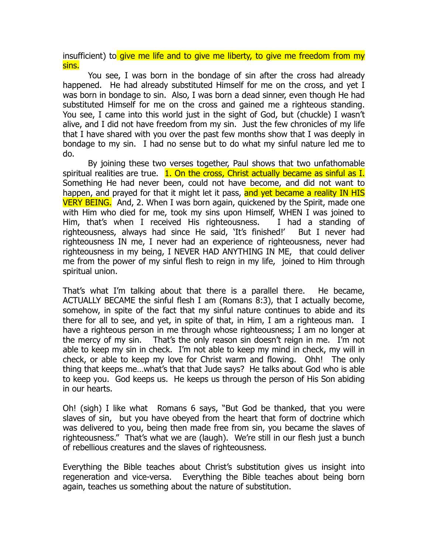insufficient) to give me life and to give me liberty, to give me freedom from my sins.

 You see, I was born in the bondage of sin after the cross had already happened. He had already substituted Himself for me on the cross, and yet I was born in bondage to sin. Also, I was born a dead sinner, even though He had substituted Himself for me on the cross and gained me a righteous standing. You see, I came into this world just in the sight of God, but (chuckle) I wasn't alive, and I did not have freedom from my sin. Just the few chronicles of my life that I have shared with you over the past few months show that I was deeply in bondage to my sin. I had no sense but to do what my sinful nature led me to do.

 By joining these two verses together, Paul shows that two unfathomable spiritual realities are true.  $1.$  On the cross, Christ actually became as sinful as I. Something He had never been, could not have become, and did not want to happen, and prayed for that it might let it pass, and yet became a reality IN HIS VERY BEING. And, 2. When I was born again, quickened by the Spirit, made one with Him who died for me, took my sins upon Himself, WHEN I was joined to Him, that's when I received His righteousness. I had a standing of righteousness, always had since He said, 'It's finished!' But I never had righteousness IN me, I never had an experience of righteousness, never had righteousness in my being, I NEVER HAD ANYTHING IN ME, that could deliver me from the power of my sinful flesh to reign in my life, joined to Him through spiritual union.

That's what I'm talking about that there is a parallel there. He became, ACTUALLY BECAME the sinful flesh I am (Romans 8:3), that I actually become, somehow, in spite of the fact that my sinful nature continues to abide and its there for all to see, and yet, in spite of that, in Him, I am a righteous man. I have a righteous person in me through whose righteousness; I am no longer at the mercy of my sin. That's the only reason sin doesn't reign in me. I'm not able to keep my sin in check. I'm not able to keep my mind in check, my will in check, or able to keep my love for Christ warm and flowing. Ohh! The only thing that keeps me…what's that that Jude says? He talks about God who is able to keep you. God keeps us. He keeps us through the person of His Son abiding in our hearts.

Oh! (sigh) I like what Romans 6 says, "But God be thanked, that you were slaves of sin, but you have obeyed from the heart that form of doctrine which was delivered to you, being then made free from sin, you became the slaves of righteousness." That's what we are (laugh). We're still in our flesh just a bunch of rebellious creatures and the slaves of righteousness.

Everything the Bible teaches about Christ's substitution gives us insight into regeneration and vice-versa. Everything the Bible teaches about being born again, teaches us something about the nature of substitution.